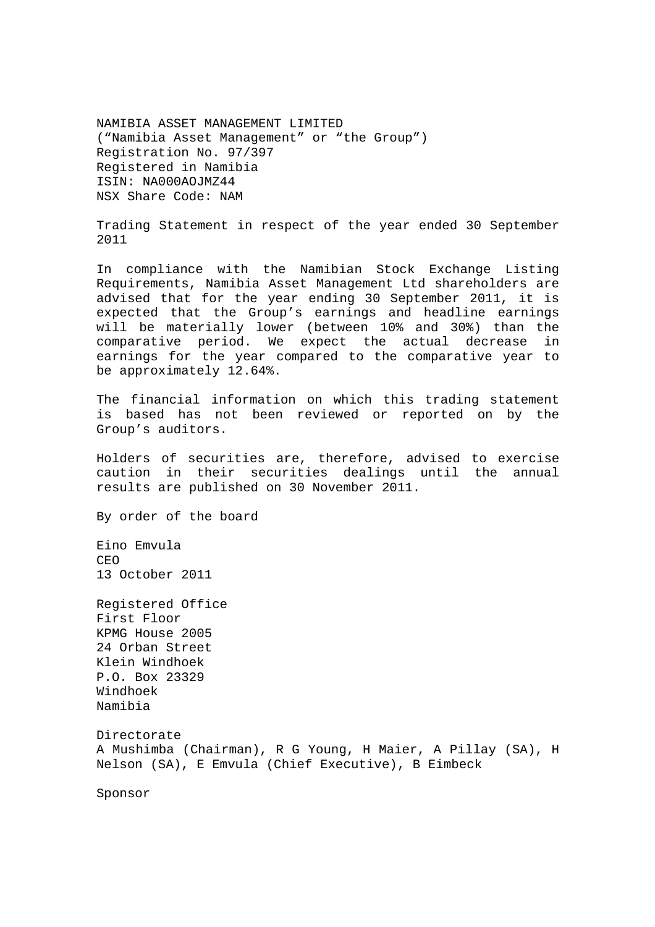NAMIBIA ASSET MANAGEMENT LIMITED ("Namibia Asset Management" or "the Group") Registration No. 97/397 Registered in Namibia ISIN: NA000AOJMZ44 NSX Share Code: NAM

Trading Statement in respect of the year ended 30 September 2011

In compliance with the Namibian Stock Exchange Listing Requirements, Namibia Asset Management Ltd shareholders are advised that for the year ending 30 September 2011, it is expected that the Group's earnings and headline earnings will be materially lower (between 10% and 30%) than the comparative period. We expect the actual decrease in earnings for the year compared to the comparative year to be approximately 12.64%.

The financial information on which this trading statement is based has not been reviewed or reported on by the Group's auditors.

Holders of securities are, therefore, advised to exercise caution in their securities dealings until the annual results are published on 30 November 2011.

By order of the board

Eino Emvula CEO 13 October 2011

Registered Office First Floor KPMG House 2005 24 Orban Street Klein Windhoek P.O. Box 23329 Windhoek Namibia Directorate A Mushimba (Chairman), R G Young, H Maier, A Pillay (SA), H Nelson (SA), E Emvula (Chief Executive), B Eimbeck

Sponsor